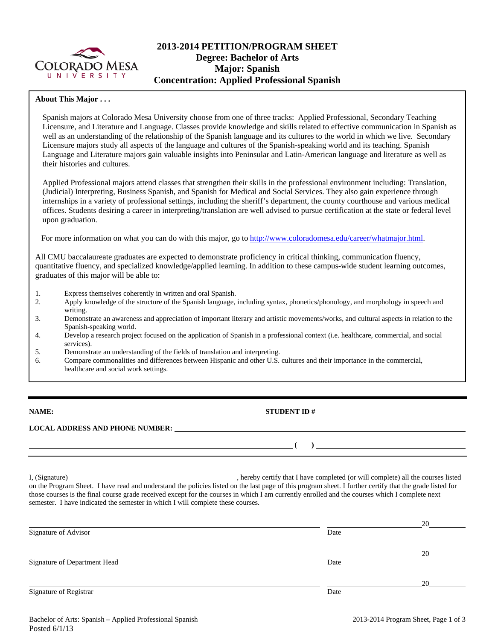

# **2013-2014 PETITION/PROGRAM SHEET Degree: Bachelor of Arts Major: Spanish Concentration: Applied Professional Spanish**

### **About This Major . . .**

Spanish majors at Colorado Mesa University choose from one of three tracks: Applied Professional, Secondary Teaching Licensure, and Literature and Language. Classes provide knowledge and skills related to effective communication in Spanish as well as an understanding of the relationship of the Spanish language and its cultures to the world in which we live. Secondary Licensure majors study all aspects of the language and cultures of the Spanish-speaking world and its teaching. Spanish Language and Literature majors gain valuable insights into Peninsular and Latin-American language and literature as well as their histories and cultures.

Applied Professional majors attend classes that strengthen their skills in the professional environment including: Translation, (Judicial) Interpreting, Business Spanish, and Spanish for Medical and Social Services. They also gain experience through internships in a variety of professional settings, including the sheriff's department, the county courthouse and various medical offices. Students desiring a career in interpreting/translation are well advised to pursue certification at the state or federal level upon graduation.

For more information on what you can do with this major, go to http://www.coloradomesa.edu/career/whatmajor.html.

All CMU baccalaureate graduates are expected to demonstrate proficiency in critical thinking, communication fluency, quantitative fluency, and specialized knowledge/applied learning. In addition to these campus-wide student learning outcomes, graduates of this major will be able to:

- 1. Express themselves coherently in written and oral Spanish.<br>
2. Apply knowledge of the structure of the Spanish language.
- 2. Apply knowledge of the structure of the Spanish language, including syntax, phonetics/phonology, and morphology in speech and writing.
- 3. Demonstrate an awareness and appreciation of important literary and artistic movements/works, and cultural aspects in relation to the Spanish-speaking world.
- 4. Develop a research project focused on the application of Spanish in a professional context (i.e. healthcare, commercial, and social services).
- 5. Demonstrate an understanding of the fields of translation and interpreting.

semester. I have indicated the semester in which I will complete these courses.

6. Compare commonalities and differences between Hispanic and other U.S. cultures and their importance in the commercial, healthcare and social work settings.

**NAME: STUDENT ID #**

 $\frac{1}{\sqrt{2}}$ 

**LOCAL ADDRESS AND PHONE NUMBER:**

I, (Signature) , hereby certify that I have completed (or will complete) all the courses listed on the Program Sheet. I have read and understand the policies listed on the last page of this program sheet. I further certify that the grade listed for those courses is the final course grade received except for the courses in which I am currently enrolled and the courses which I complete next

|                              |      | 20 |
|------------------------------|------|----|
| Signature of Advisor         | Date |    |
|                              |      | 20 |
| Signature of Department Head | Date |    |
|                              |      | 20 |
| Signature of Registrar       | Date |    |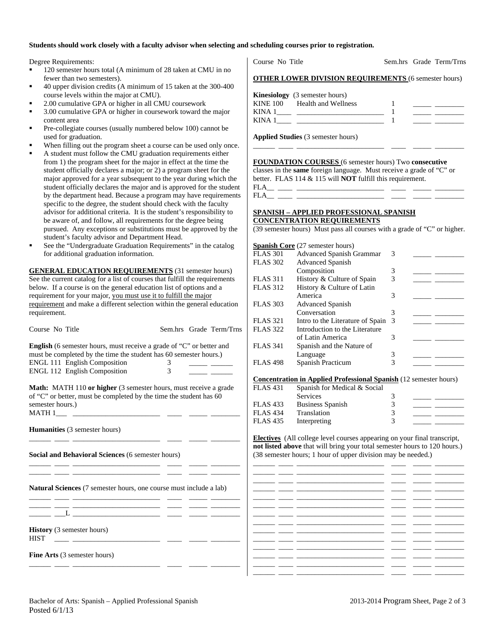#### **Students should work closely with a faculty advisor when selecting and scheduling courses prior to registration.**

Degree Requirements:

- <sup>120</sup> semester hours total (A minimum of 28 taken at CMU in no fewer than two semesters).
- 40 upper division credits (A minimum of 15 taken at the 300-400 course levels within the major at CMU).
- 2.00 cumulative GPA or higher in all CMU coursework
- 3.00 cumulative GPA or higher in coursework toward the major content area
- Pre-collegiate courses (usually numbered below 100) cannot be used for graduation.
- When filling out the program sheet a course can be used only once.
- A student must follow the CMU graduation requirements either from 1) the program sheet for the major in effect at the time the student officially declares a major; or 2) a program sheet for the major approved for a year subsequent to the year during which the student officially declares the major and is approved for the student by the department head. Because a program may have requirements specific to the degree, the student should check with the faculty advisor for additional criteria. It is the student's responsibility to be aware of, and follow, all requirements for the degree being pursued. Any exceptions or substitutions must be approved by the student's faculty advisor and Department Head.
- See the "Undergraduate Graduation Requirements" in the catalog for additional graduation information.

**GENERAL EDUCATION REQUIREMENTS** (31 semester hours) See the current catalog for a list of courses that fulfill the requirements below. If a course is on the general education list of options and a requirement for your major, you must use it to fulfill the major requirement and make a different selection within the general education requirement.

| Course No Title                                                                                                                     |             | Sem.hrs Grade Term/Trns | <b>FLAS 322</b> | Introduction to the Literature                                                                                                                                                                                                       |   |                                         |
|-------------------------------------------------------------------------------------------------------------------------------------|-------------|-------------------------|-----------------|--------------------------------------------------------------------------------------------------------------------------------------------------------------------------------------------------------------------------------------|---|-----------------------------------------|
|                                                                                                                                     |             |                         |                 | of Latin America                                                                                                                                                                                                                     | 3 |                                         |
| English (6 semester hours, must receive a grade of "C" or better and                                                                |             |                         | <b>FLAS 341</b> | Spanish and the Nature of                                                                                                                                                                                                            |   |                                         |
| must be completed by the time the student has 60 semester hours.)                                                                   |             |                         |                 | Language                                                                                                                                                                                                                             | 3 |                                         |
| ENGL 111 English Composition                                                                                                        | $3^{\circ}$ |                         | <b>FLAS 498</b> | Spanish Practicum                                                                                                                                                                                                                    | 3 |                                         |
| <b>ENGL 112 English Composition</b>                                                                                                 | 3           |                         |                 |                                                                                                                                                                                                                                      |   |                                         |
|                                                                                                                                     |             |                         |                 | <b>Concentration in Applied Professional Spanish (12 semester hours)</b>                                                                                                                                                             |   |                                         |
| Math: MATH 110 or higher (3 semester hours, must receive a grade                                                                    |             |                         | <b>FLAS 431</b> | Spanish for Medical & Social                                                                                                                                                                                                         |   |                                         |
| of "C" or better, must be completed by the time the student has 60                                                                  |             |                         |                 | <b>Services</b>                                                                                                                                                                                                                      | 3 |                                         |
| semester hours.)                                                                                                                    |             |                         | <b>FLAS 433</b> | <b>Business Spanish</b>                                                                                                                                                                                                              | 3 | <u> 1989 - John Stone, mars et al.</u>  |
|                                                                                                                                     |             |                         | <b>FLAS 434</b> | Translation                                                                                                                                                                                                                          | 3 | <u> 1999 - Jan Barnett, mars et al.</u> |
|                                                                                                                                     |             |                         | <b>FLAS 435</b> | Interpreting                                                                                                                                                                                                                         | 3 |                                         |
| <b>Humanities</b> (3 semester hours)                                                                                                |             |                         |                 |                                                                                                                                                                                                                                      |   |                                         |
|                                                                                                                                     |             |                         |                 | <b>Electives</b> (All college level courses appearing on your final transcript,                                                                                                                                                      |   |                                         |
|                                                                                                                                     |             |                         |                 | not listed above that will bring your total semester hours to 120 hours.)                                                                                                                                                            |   |                                         |
| Social and Behavioral Sciences (6 semester hours)                                                                                   |             |                         |                 | (38 semester hours; 1 hour of upper division may be needed.)                                                                                                                                                                         |   |                                         |
|                                                                                                                                     |             |                         |                 |                                                                                                                                                                                                                                      |   |                                         |
|                                                                                                                                     |             |                         |                 | <u> 2002 - Antonio Alemania (h. 1888).</u>                                                                                                                                                                                           |   |                                         |
|                                                                                                                                     |             |                         |                 |                                                                                                                                                                                                                                      |   |                                         |
|                                                                                                                                     |             |                         |                 | <u>and the second control of the second control of the second control of the second control of the second control of the second control of the second control of the second control of the second control of the second control </u> |   |                                         |
| Natural Sciences (7 semester hours, one course must include a lab)                                                                  |             |                         |                 | <u> 2002 - John Schweizer, Amerikaansk politik (d. 1982)</u>                                                                                                                                                                         |   |                                         |
|                                                                                                                                     |             |                         |                 | <u> 1999 - John Harrison, mars ann an 1990 - 1990 - 1990 - 1990 - 1990 - 1990 - 1990 - 1990 - 1990 - 1990 - 1990 - 1990 - 1990 - 1990 - 1990 - 1990 - 1990 - 1990 - 1990 - 1990 - 1990 - 1990 - 1990 - 1990 - 1990 - 1990 - 1990</u> |   |                                         |
|                                                                                                                                     |             |                         |                 |                                                                                                                                                                                                                                      |   |                                         |
| __ __L __________________ ____ _____ _____                                                                                          |             |                         |                 |                                                                                                                                                                                                                                      |   |                                         |
|                                                                                                                                     |             |                         |                 | <u> 1999 - Jan James James, mars and de la provincia (m. 1908)</u>                                                                                                                                                                   |   |                                         |
| <b>History</b> (3 semester hours)                                                                                                   |             |                         |                 |                                                                                                                                                                                                                                      |   |                                         |
| <b>HIST</b><br><u> 1990 - Jan Alexandri, politik eta politik eta politik eta politik eta politik eta politik eta politik eta po</u> |             |                         |                 | فسننتش والمستنصر والمستنين والمستند المستند والمستند والمستني والمستندر                                                                                                                                                              |   |                                         |
|                                                                                                                                     |             |                         |                 |                                                                                                                                                                                                                                      |   |                                         |
| <b>Fine Arts</b> (3 semester hours)                                                                                                 |             |                         |                 |                                                                                                                                                                                                                                      |   |                                         |
|                                                                                                                                     |             |                         |                 |                                                                                                                                                                                                                                      |   |                                         |

Course No Title Sem.hrs Grade Term/Trns

| <b>OTHER LOWER DIVISION REQUIREMENTS (6 semester hours)</b> |  |
|-------------------------------------------------------------|--|
|-------------------------------------------------------------|--|

|        | <b>Kinesiology</b> (3 semester hours) |  |  |
|--------|---------------------------------------|--|--|
|        | KINE 100 Health and Wellness          |  |  |
| KINA 1 |                                       |  |  |
| KINA 1 |                                       |  |  |

\_\_\_\_\_\_ \_\_\_\_ \_\_\_\_\_\_\_\_\_\_\_\_\_\_\_\_\_\_\_\_\_\_\_\_ \_\_\_\_ \_\_\_\_\_ \_\_\_\_\_\_\_\_

**Applied Studies** (3 semester hours)

**FOUNDATION COURSES** (6 semester hours) Two **consecutive** classes in the **same** foreign language. Must receive a grade of "C" or better. FLAS 114 & 115 will **NOT** fulfill this requirement. FLA\_\_ \_\_\_\_ \_\_\_\_\_\_\_\_\_\_\_\_\_\_\_\_\_\_\_\_\_\_\_\_ \_\_\_\_ \_\_\_\_\_ \_\_\_\_\_\_\_\_

### **SPANISH – APPLIED PROFESSIONAL SPANISH CONCENTRATION REQUIREMENTS**

(39 semester hours) Must pass all courses with a grade of "C" or higher.

|                 | <b>Spanish Core</b> (27 semester hours) |               |  |
|-----------------|-----------------------------------------|---------------|--|
| <b>FLAS 301</b> | <b>Advanced Spanish Grammar</b>         | 3             |  |
| <b>FLAS 302</b> | <b>Advanced Spanish</b>                 |               |  |
|                 | Composition                             | 3             |  |
| <b>FLAS</b> 311 | History & Culture of Spain              | 3             |  |
| <b>FLAS 312</b> | History & Culture of Latin              |               |  |
|                 | America                                 | 3             |  |
| <b>FLAS 303</b> | <b>Advanced Spanish</b>                 |               |  |
|                 | Conversation                            | 3             |  |
| <b>FLAS</b> 321 | Intro to the Literature of Spain        | $\mathcal{R}$ |  |
| <b>FLAS</b> 322 | Introduction to the Literature          |               |  |
|                 | of Latin America                        | 3             |  |
| <b>FLAS</b> 341 | Spanish and the Nature of               |               |  |
|                 | Language                                | 3             |  |
| <b>FLAS 498</b> | Spanish Practicum                       |               |  |

| FLAS 431 | Spanish for Medical & Social |  |
|----------|------------------------------|--|
|          | Services                     |  |
| FLAS 433 | <b>Business Spanish</b>      |  |
| FLAS 434 | Translation                  |  |
| FLAS 435 | Interpreting                 |  |
|          |                              |  |

\_\_\_\_\_\_ \_\_\_\_ \_\_\_\_\_\_\_\_\_\_\_\_\_\_\_\_\_\_\_\_\_\_\_\_ \_\_\_\_ \_\_\_\_\_ \_\_\_\_\_\_\_\_